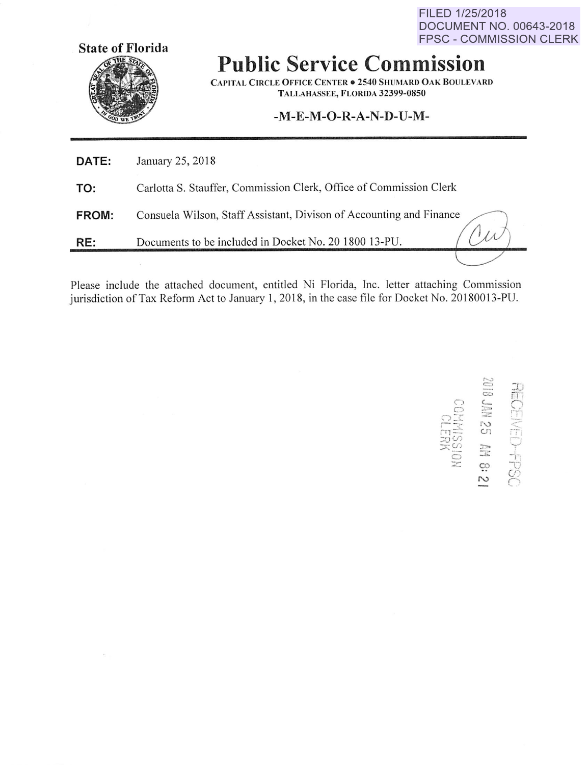FILED 1/25/2018 **DOCUMENT NO. 00643-2018 FPSC - COMMISSION CLERK** 



## **Public Service Commission**

**CAPITAL CIRCLE OFFICE CENTER . 2540 SHUMARD OAK BOULEVARD** TALLAHASSEE, FLORIDA 32399-0850

## -M-E-M-O-R-A-N-D-U-M-

| RE:          | Documents to be included in Docket No. 20 1800 13-PU.               |
|--------------|---------------------------------------------------------------------|
| <b>FROM:</b> | Consuela Wilson, Staff Assistant, Divison of Accounting and Finance |
| TO:          | Carlotta S. Stauffer, Commission Clerk, Office of Commission Clerk  |
| DATE:        | January 25, 2018                                                    |

Please include the attached document, entitled Ni Florida, Inc. letter attaching Commission jurisdiction of Tax Reform Act to January 1, 2018, in the case file for Docket No. 20180013-PU.

RECEIVED-FPSC<br>2018 JAN 25 AM 8: 21 NAISSI<br>CLEBK<br>CLEBK